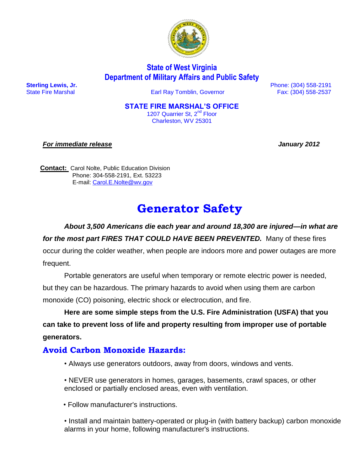

# **State of West Virginia Department of Military Affairs and Public Safety**

State Fire Marshal Earl Ray Tomblin, Governor Fax: (304) 558-2537

 **Sterling Lewis, Jr.** Phone: (304) 558-2191

#### **STATE FIRE MARSHAL'S OFFICE**

1207 Quarrier St, 2<sup>nd</sup> Floor Charleston, WV 25301

*For immediate release January 2012* 

**Contact:** Carol Nolte, Public Education Division Phone: 304-558-2191, Ext. 53223 E-mail: [Carol.E.Nolte@wv.gov](mailto:Carol.E.Nolte@wv.gov)

# **Generator Safety**

*About 3,500 Americans die each year and around 18,300 are injured—in what are for the most part FIRES THAT COULD HAVE BEEN PREVENTED.* Many of these fires occur during the colder weather, when people are indoors more and power outages are more frequent.

Portable generators are useful when temporary or remote electric power is needed, but they can be hazardous. The primary hazards to avoid when using them are carbon monoxide (CO) poisoning, electric shock or electrocution, and fire.

**Here are some simple steps from the U.S. Fire Administration (USFA) that you can take to prevent loss of life and property resulting from improper use of portable generators.**

## **Avoid Carbon Monoxide Hazards:**

- Always use generators outdoors, away from doors, windows and vents.
- NEVER use generators in homes, garages, basements, crawl spaces, or other enclosed or partially enclosed areas, even with ventilation.
- Follow manufacturer's instructions.

• Install and maintain battery-operated or plug-in (with battery backup) carbon monoxide alarms in your home, following manufacturer's instructions.